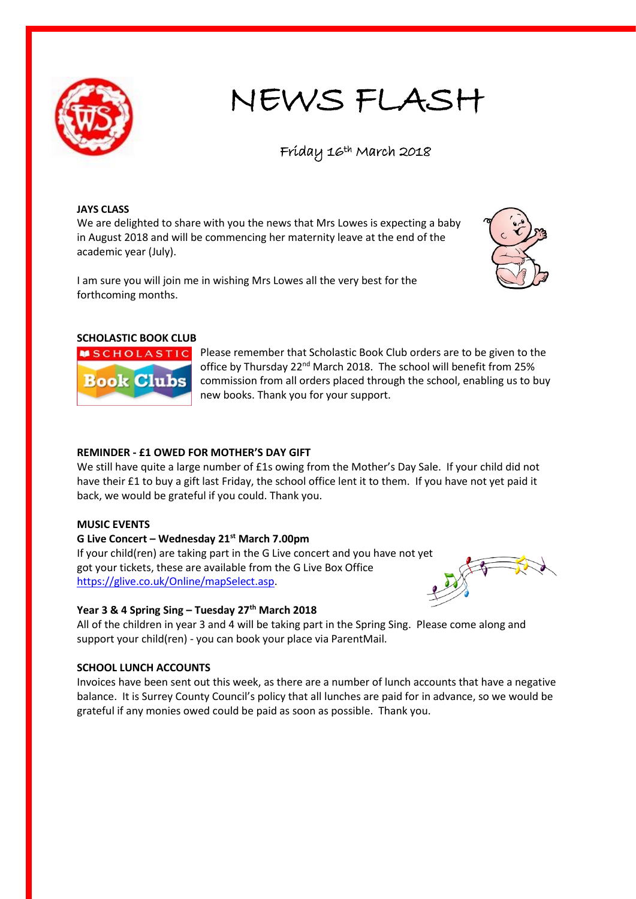

# NEWS FLASH

Fríday 16<sup>th</sup> March 2018

#### **JAYS CLASS**

We are delighted to share with you the news that Mrs Lowes is expecting a baby in August 2018 and will be commencing her maternity leave at the end of the academic year (July).

I am sure you will join me in wishing Mrs Lowes all the very best for the forthcoming months.



## **SCHOLASTIC BOOK CLUB**



Please remember that Scholastic Book Club orders are to be given to the office by Thursday 22<sup>nd</sup> March 2018. The school will benefit from 25% commission from all orders placed through the school, enabling us to buy new books. Thank you for your support.

### **REMINDER - £1 OWED FOR MOTHER'S DAY GIFT**

We still have quite a large number of £1s owing from the Mother's Day Sale. If your child did not have their £1 to buy a gift last Friday, the school office lent it to them. If you have not yet paid it back, we would be grateful if you could. Thank you.

#### **MUSIC EVENTS**

## **G Live Concert – Wednesday 21st March 7.00pm**

If your child(ren) are taking part in the G Live concert and you have not yet got your tickets, these are available from the G Live Box Office [https://glive.co.uk/Online/mapSelect.asp.](https://glive.co.uk/Online/mapSelect.asp)

## **Year 3 & 4 Spring Sing – Tuesday 27th March 2018**

All of the children in year 3 and 4 will be taking part in the Spring Sing. Please come along and support your child(ren) - you can book your place via ParentMail.

#### **SCHOOL LUNCH ACCOUNTS**

Invoices have been sent out this week, as there are a number of lunch accounts that have a negative balance. It is Surrey County Council's policy that all lunches are paid for in advance, so we would be grateful if any monies owed could be paid as soon as possible. Thank you.